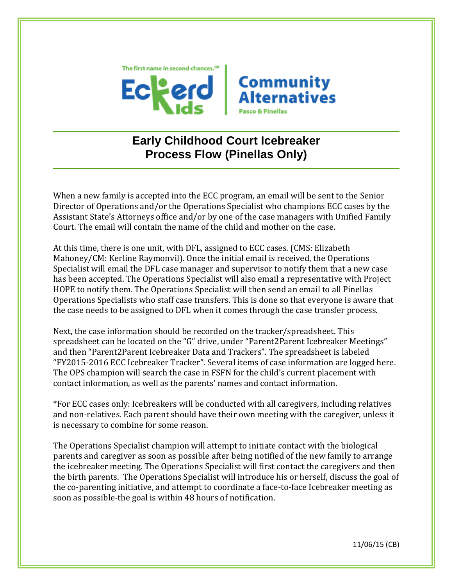



## **Early Childhood Court Icebreaker Process Flow (Pinellas Only)**

When a new family is accepted into the ECC program, an email will be sent to the Senior Director of Operations and/or the Operations Specialist who champions ECC cases by the Assistant State's Attorneys office and/or by one of the case managers with Unified Family Court. The email will contain the name of the child and mother on the case.

At this time, there is one unit, with DFL, assigned to ECC cases. (CMS: Elizabeth Mahoney/CM: Kerline Raymonvil). Once the initial email is received, the Operations Specialist will email the DFL case manager and supervisor to notify them that a new case has been accepted. The Operations Specialist will also email a representative with Project HOPE to notify them. The Operations Specialist will then send an email to all Pinellas Operations Specialists who staff case transfers. This is done so that everyone is aware that the case needs to be assigned to DFL when it comes through the case transfer process.

Next, the case information should be recorded on the tracker/spreadsheet. This spreadsheet can be located on the "G" drive, under "Parent2Parent Icebreaker Meetings" and then "Parent2Parent Icebreaker Data and Trackers". The spreadsheet is labeled "FY2015-2016 ECC Icebreaker Tracker". Several items of case information are logged here. The OPS champion will search the case in FSFN for the child's current placement with contact information, as well as the parents' names and contact information.

\*For ECC cases only: Icebreakers will be conducted with all caregivers, including relatives and non-relatives. Each parent should have their own meeting with the caregiver, unless it is necessary to combine for some reason.

The Operations Specialist champion will attempt to initiate contact with the biological parents and caregiver as soon as possible after being notified of the new family to arrange the icebreaker meeting. The Operations Specialist will first contact the caregivers and then the birth parents. The Operations Specialist will introduce his or herself, discuss the goal of the co-parenting initiative, and attempt to coordinate a face-to-face Icebreaker meeting as soon as possible-the goal is within 48 hours of notification.

11/06/15 (CB)